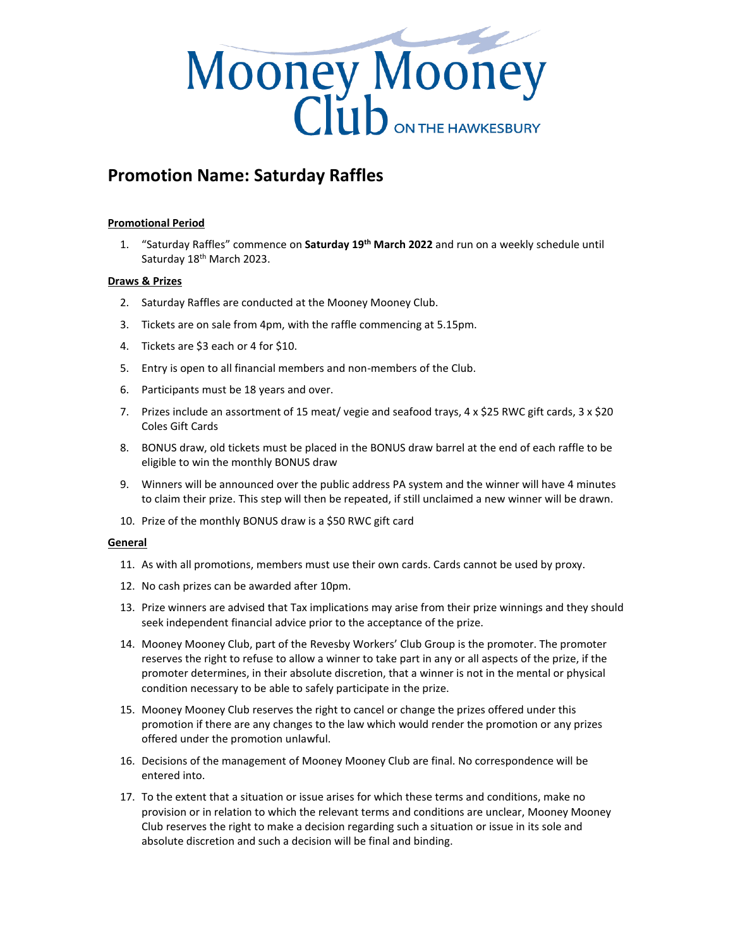

## **Promotion Name: Saturday Raffles**

## **Promotional Period**

1. "Saturday Raffles" commence on **Saturday 19th March 2022** and run on a weekly schedule until Saturday 18<sup>th</sup> March 2023.

## **Draws & Prizes**

- 2. Saturday Raffles are conducted at the Mooney Mooney Club.
- 3. Tickets are on sale from 4pm, with the raffle commencing at 5.15pm.
- 4. Tickets are \$3 each or 4 for \$10.
- 5. Entry is open to all financial members and non-members of the Club.
- 6. Participants must be 18 years and over.
- 7. Prizes include an assortment of 15 meat/ vegie and seafood trays, 4 x \$25 RWC gift cards, 3 x \$20 Coles Gift Cards
- 8. BONUS draw, old tickets must be placed in the BONUS draw barrel at the end of each raffle to be eligible to win the monthly BONUS draw
- 9. Winners will be announced over the public address PA system and the winner will have 4 minutes to claim their prize. This step will then be repeated, if still unclaimed a new winner will be drawn.
- 10. Prize of the monthly BONUS draw is a \$50 RWC gift card

## **General**

- 11. As with all promotions, members must use their own cards. Cards cannot be used by proxy.
- 12. No cash prizes can be awarded after 10pm.
- 13. Prize winners are advised that Tax implications may arise from their prize winnings and they should seek independent financial advice prior to the acceptance of the prize.
- 14. Mooney Mooney Club, part of the Revesby Workers' Club Group is the promoter. The promoter reserves the right to refuse to allow a winner to take part in any or all aspects of the prize, if the promoter determines, in their absolute discretion, that a winner is not in the mental or physical condition necessary to be able to safely participate in the prize.
- 15. Mooney Mooney Club reserves the right to cancel or change the prizes offered under this promotion if there are any changes to the law which would render the promotion or any prizes offered under the promotion unlawful.
- 16. Decisions of the management of Mooney Mooney Club are final. No correspondence will be entered into.
- 17. To the extent that a situation or issue arises for which these terms and conditions, make no provision or in relation to which the relevant terms and conditions are unclear, Mooney Mooney Club reserves the right to make a decision regarding such a situation or issue in its sole and absolute discretion and such a decision will be final and binding.